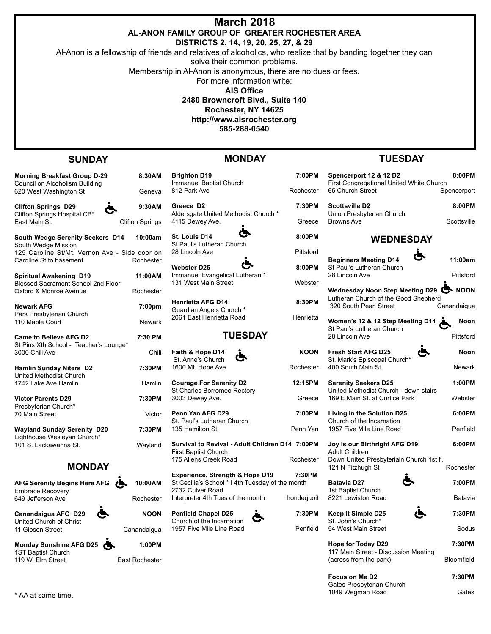| <b>March 2018</b>                               |
|-------------------------------------------------|
| AL-ANON FAMILY GROUP OF  GREATER ROCHESTER AREA |
|                                                 |

**DISTRICTS 2, 14, 19, 20, 25, 27, & 29**

Al-Anon is a fellowship of friends and relatives of alcoholics, who realize that by banding together they can

solve their common problems.

Membership in Al-Anon is anonymous, there are no dues or fees.

For more information write:

**AIS Office**

**2480 Browncroft Blvd., Suite 140**

**Rochester, NY 14625**

**http://www.aisrochester.org**

**585-288-0540**

## **SUNDAY**

## **MONDAY**

**Morning Breakfast Group D-29 8:30AM** Council on Alcoholism Building 620 West Washington St **Geneva** 

**Clifton Springs** 

**Clifton Springs D29 9:30AM** Clifton Springs Hospital CB\*

| South Wedge Serenity Seekers D14<br>South Wedge Mission                  | 10:00am            |
|--------------------------------------------------------------------------|--------------------|
| 125 Caroline St/Mt. Vernon Ave - Side door on<br>Caroline St to basement | Rochester          |
| <b>Spiritual Awakening D19</b><br>Blessed Sacrament School 2nd Floor     | 11:00AM            |
| Oxford & Monroe Avenue                                                   | Rochester          |
| <b>Newark AFG</b>                                                        | 7:00 <sub>pm</sub> |
| Park Presbyterian Church<br>110 Maple Court                              | Newark             |
| <b>Came to Believe AFG D2</b>                                            | 7:30 PM            |
| St Pius Xth School - Teacher's Lounge*<br>3000 Chili Ave                 | Chili              |
|                                                                          |                    |
| <b>Hamlin Sunday Niters D2</b><br>United Methodist Church                | 7:30PM             |
| 1742 Lake Ave Hamlin                                                     | Hamlin             |

**Victor Parents D29 7:30PM** Presbyterian Church\*

70 Main Street Victor

**Wayland Sunday Serenity D20 7:30PM** Lighthouse Wesleyan Church\* 101 S. Lackawanna St.

# **MONDAY**

**AFG Serenity Begins Here AFG 10:00AM** Embrace Recovery 649 Jefferson Ave **Rochester** 

**Canandaigua AFG D29 NOON** United Church of Christ 11 Gibson Street Canandaigua

**Monday Sunshine AFG D25 1:00PM** 1ST Baptist Church 119 W. Elm Street East Rochester





**Brighton D19 7:00** Immanuel Baptist Church 812 Park Ave Roche

**Greece D2 7:30** Aldersgate United Methodist Church \* 4115 Dewey Ave. **Greece** Greece **Greece** Greece Greece **Greece** Greece **Greece** Greece **Greece** 

**St. Louis D14 B** St Paul's Lutheran Church 28 Lincoln Ave **Pitts** 

**Webster D25 8:00** Immanuel Evangelical Lutheran \* 131 West Main Street Web

**Henrietta AFG D14** 8:30 Guardian Angels Church \* 2061 East Henrietta Road Henr

### **TUESDAY**

**Faith & Hope D14 NO**<br>St Anne's Church St. Anne's Church 1600 Mt. Hope Ave **Roche** 

**Courage For Serenity D2 12:15P** St Charles Borromeo Rectory 3003 Dewey Ave. **Greece** 

**Penn Yan AFG D29 7:00P** St. Paul's Lutheran Church 135 Hamilton St. **Penn Yang Communist Communist Penn Yang Penn** 

**Revival - Adult Children D14 7:00P** st Church **Creek Road Rochester** 

**Experience, Strength & Hope D19 7:30PM** St Cecilia's School \* I 4th Tuesday of the month 2732 Culver Road Interpreter 4th Tues of the month Irondequo

**Penfield Chapel D25 7:30PM** Church of the Incarnation 1957 Five Mile Line Road Penfield



| )PM         | Spencerport 12 & 12 D2<br>First Congregational United White Church          | 8:00PM               |
|-------------|-----------------------------------------------------------------------------|----------------------|
| ester       | 65 Church Street                                                            | Spencerport          |
| )PM         | <b>Scottsville D2</b>                                                       | 8:00PM               |
| есе         | Union Presbyterian Church<br><b>Browns Ave</b>                              | Scottsville          |
| )PM         | <b>WEDNESDAY</b>                                                            |                      |
| ford        |                                                                             |                      |
| )PM         | <b>Beginners Meeting D14</b><br>St Paul's Lutheran Church<br>28 Lincoln Ave | 11:00am<br>Pittsford |
| <b>ster</b> | Wednesday Noon Step Meeting D29 <                                           |                      |
| <b>PM</b>   | Lutheran Church of the Good Shepherd<br>320 South Pearl Street              | Canandaigua          |
| ietta       | Women's 12 & 12 Step Meeting D14<br>St Paul's Lutheran Church               | Noon                 |
|             | 28 Lincoln Ave                                                              | Pittsford            |
| <b>ON</b>   | <b>Fresh Start AFG D25</b><br>St. Mark's Episcopal Church*                  | Noon                 |
| ester       | 400 South Main St                                                           | Newark               |
| -nm         | Ocasia (Assistant DOF                                                       | 4.00018              |

**TUESDAY**

| M   | <b>Serenity Seekers D25</b><br>United Methodist Church - down stairs | 1:00PM    |
|-----|----------------------------------------------------------------------|-----------|
| e:  | 169 E Main St. at Curtice Park                                       | Webster   |
| M   | Living in the Solution D25                                           | 6:00PM    |
| ın  | Church of the Incarnation<br>1957 Five Mile Line Road                | Penfield  |
| Ν   | Joy is our Birthright AFG D19                                        | 6:00PM    |
| эr  | <b>Adult Children</b><br>Down United Presbyterialn Church 1st fl.    |           |
|     | 121 N Fitzhugh St                                                    | Rochester |
| и   | ⋟<br>Batavia D27                                                     | 7:00PM    |
| ,it | 1st Baptist Church<br>8221 Lewiston Road                             | Batavia   |
|     |                                                                      |           |
| Ν   | Keep it Simple D25                                                   | 7:30PM    |

St. John's Church\* 54 West Main Street Sodus

**Hope for Today D29 7:30PM** 117 Main Street - Discussion Meeting (across from the park) Bloomfield

Focus on Me D2 7:30PM Gates Presbyterian Church 1049 Wegman Road Gates \* AA at same time.

- -
- 

| Wayland | <b>Survival to</b>  |
|---------|---------------------|
|         | <b>First Baptis</b> |
|         | 175 Allens          |